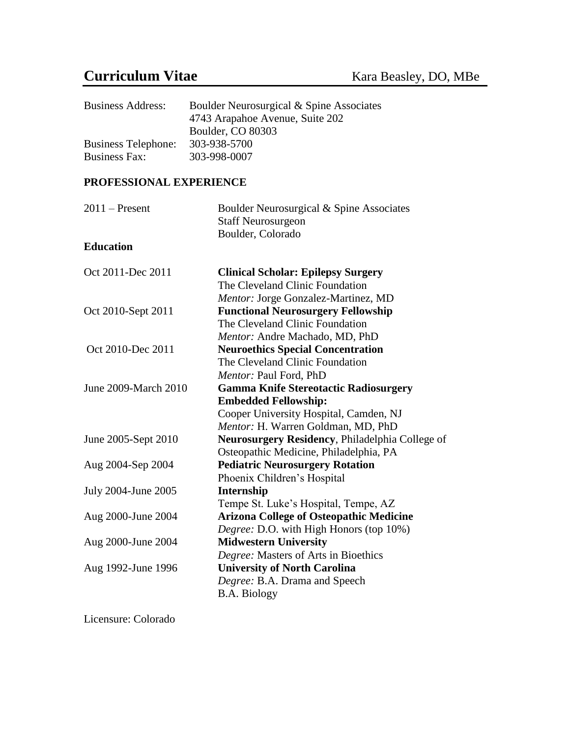# **Curriculum Vitae** Kara Beasley, DO, MBe

| <b>Business Address:</b>   | Boulder Neurosurgical & Spine Associates |
|----------------------------|------------------------------------------|
|                            | 4743 Arapahoe Avenue, Suite 202          |
|                            | Boulder, CO 80303                        |
| <b>Business Telephone:</b> | 303-938-5700                             |
| <b>Business Fax:</b>       | 303-998-0007                             |

## **PROFESSIONAL EXPERIENCE**

| $2011$ – Present     | Boulder Neurosurgical & Spine Associates<br><b>Staff Neurosurgeon</b> |
|----------------------|-----------------------------------------------------------------------|
|                      | Boulder, Colorado                                                     |
| <b>Education</b>     |                                                                       |
| Oct 2011-Dec 2011    | <b>Clinical Scholar: Epilepsy Surgery</b>                             |
|                      | The Cleveland Clinic Foundation                                       |
|                      | Mentor: Jorge Gonzalez-Martinez, MD                                   |
| Oct 2010-Sept 2011   | <b>Functional Neurosurgery Fellowship</b>                             |
|                      | The Cleveland Clinic Foundation                                       |
|                      | Mentor: Andre Machado, MD, PhD                                        |
| Oct 2010-Dec 2011    | <b>Neuroethics Special Concentration</b>                              |
|                      | The Cleveland Clinic Foundation                                       |
|                      | Mentor: Paul Ford, PhD                                                |
| June 2009-March 2010 | <b>Gamma Knife Stereotactic Radiosurgery</b>                          |
|                      | <b>Embedded Fellowship:</b>                                           |
|                      | Cooper University Hospital, Camden, NJ                                |
|                      | Mentor: H. Warren Goldman, MD, PhD                                    |
| June 2005-Sept 2010  | Neurosurgery Residency, Philadelphia College of                       |
|                      | Osteopathic Medicine, Philadelphia, PA                                |
| Aug 2004-Sep 2004    | <b>Pediatric Neurosurgery Rotation</b>                                |
|                      | Phoenix Children's Hospital                                           |
| July 2004-June 2005  | Internship                                                            |
|                      | Tempe St. Luke's Hospital, Tempe, AZ                                  |
| Aug 2000-June 2004   | <b>Arizona College of Osteopathic Medicine</b>                        |
|                      | Degree: D.O. with High Honors (top 10%)                               |
| Aug 2000-June 2004   | <b>Midwestern University</b>                                          |
|                      | Degree: Masters of Arts in Bioethics                                  |
| Aug 1992-June 1996   | <b>University of North Carolina</b>                                   |
|                      | Degree: B.A. Drama and Speech                                         |
|                      | <b>B.A. Biology</b>                                                   |

Licensure: Colorado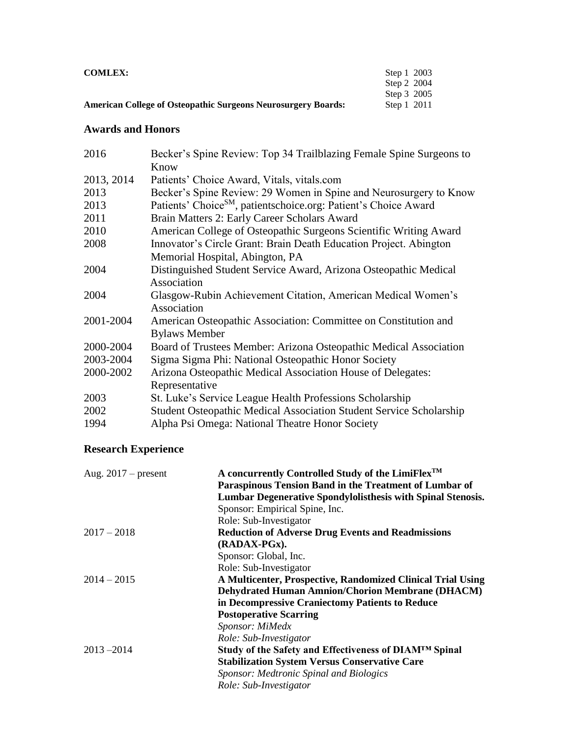| <b>COMLEX:</b>                                                       | Step 1 2003 |
|----------------------------------------------------------------------|-------------|
|                                                                      | Step 2 2004 |
|                                                                      | Step 3 2005 |
| <b>American College of Osteopathic Surgeons Neurosurgery Boards:</b> | Step 1 2011 |

### **Awards and Honors**

| 2016       | Becker's Spine Review: Top 34 Trailblazing Female Spine Surgeons to         |
|------------|-----------------------------------------------------------------------------|
|            | Know                                                                        |
| 2013, 2014 | Patients' Choice Award, Vitals, vitals.com                                  |
| 2013       | Becker's Spine Review: 29 Women in Spine and Neurosurgery to Know           |
| 2013       | Patients' Choice <sup>SM</sup> , patientschoice.org: Patient's Choice Award |
| 2011       | Brain Matters 2: Early Career Scholars Award                                |
| 2010       | American College of Osteopathic Surgeons Scientific Writing Award           |
| 2008       | Innovator's Circle Grant: Brain Death Education Project. Abington           |
|            | Memorial Hospital, Abington, PA                                             |
| 2004       | Distinguished Student Service Award, Arizona Osteopathic Medical            |
|            | Association                                                                 |
| 2004       | Glasgow-Rubin Achievement Citation, American Medical Women's                |
|            | Association                                                                 |
| 2001-2004  | American Osteopathic Association: Committee on Constitution and             |
|            | <b>Bylaws Member</b>                                                        |
| 2000-2004  | Board of Trustees Member: Arizona Osteopathic Medical Association           |
| 2003-2004  | Sigma Sigma Phi: National Osteopathic Honor Society                         |
| 2000-2002  | Arizona Osteopathic Medical Association House of Delegates:                 |
|            | Representative                                                              |
| 2003       | St. Luke's Service League Health Professions Scholarship                    |
| 2002       | <b>Student Osteopathic Medical Association Student Service Scholarship</b>  |
| 1994       | Alpha Psi Omega: National Theatre Honor Society                             |

## **Research Experience**

| Aug. $2017$ – present | A concurrently Controlled Study of the LimiFlex <sup>™</sup><br>Paraspinous Tension Band in the Treatment of Lumbar of<br>Lumbar Degenerative Spondylolisthesis with Spinal Stenosis. |
|-----------------------|---------------------------------------------------------------------------------------------------------------------------------------------------------------------------------------|
|                       | Sponsor: Empirical Spine, Inc.                                                                                                                                                        |
|                       | Role: Sub-Investigator                                                                                                                                                                |
| $2017 - 2018$         | <b>Reduction of Adverse Drug Events and Readmissions</b>                                                                                                                              |
|                       | (RADAX-PGx).                                                                                                                                                                          |
|                       | Sponsor: Global, Inc.                                                                                                                                                                 |
|                       | Role: Sub-Investigator                                                                                                                                                                |
| $2014 - 2015$         | A Multicenter, Prospective, Randomized Clinical Trial Using                                                                                                                           |
|                       | <b>Dehydrated Human Amnion/Chorion Membrane (DHACM)</b>                                                                                                                               |
|                       | in Decompressive Craniectomy Patients to Reduce                                                                                                                                       |
|                       | <b>Postoperative Scarring</b>                                                                                                                                                         |
|                       | Sponsor: MiMedx                                                                                                                                                                       |
|                       | Role: Sub-Investigator                                                                                                                                                                |
| $2013 - 2014$         | Study of the Safety and Effectiveness of DIAM™ Spinal                                                                                                                                 |
|                       | <b>Stabilization System Versus Conservative Care</b>                                                                                                                                  |
|                       | Sponsor: Medtronic Spinal and Biologics                                                                                                                                               |
|                       | Role: Sub-Investigator                                                                                                                                                                |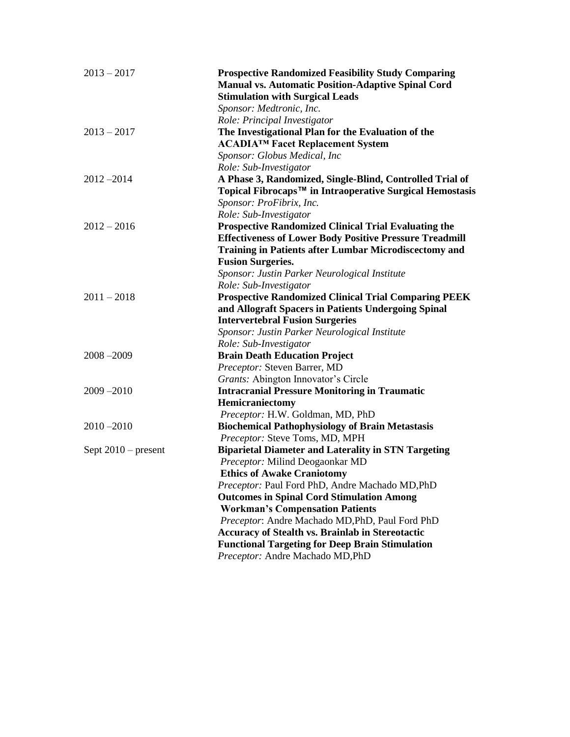| $2013 - 2017$         | <b>Prospective Randomized Feasibility Study Comparing</b><br><b>Manual vs. Automatic Position-Adaptive Spinal Cord</b><br><b>Stimulation with Surgical Leads</b> |
|-----------------------|------------------------------------------------------------------------------------------------------------------------------------------------------------------|
|                       | Sponsor: Medtronic, Inc.                                                                                                                                         |
|                       | Role: Principal Investigator                                                                                                                                     |
| $2013 - 2017$         | The Investigational Plan for the Evaluation of the                                                                                                               |
|                       | ACADIA™ Facet Replacement System                                                                                                                                 |
|                       | Sponsor: Globus Medical, Inc                                                                                                                                     |
|                       | Role: Sub-Investigator                                                                                                                                           |
| $2012 - 2014$         | A Phase 3, Randomized, Single-Blind, Controlled Trial of<br>Topical Fibrocaps™ in Intraoperative Surgical Hemostasis<br>Sponsor: ProFibrix, Inc.                 |
|                       | Role: Sub-Investigator                                                                                                                                           |
| $2012 - 2016$         | <b>Prospective Randomized Clinical Trial Evaluating the</b>                                                                                                      |
|                       | <b>Effectiveness of Lower Body Positive Pressure Treadmill</b>                                                                                                   |
|                       | <b>Training in Patients after Lumbar Microdiscectomy and</b>                                                                                                     |
|                       | <b>Fusion Surgeries.</b>                                                                                                                                         |
|                       | Sponsor: Justin Parker Neurological Institute                                                                                                                    |
|                       | Role: Sub-Investigator                                                                                                                                           |
| $2011 - 2018$         | <b>Prospective Randomized Clinical Trial Comparing PEEK</b>                                                                                                      |
|                       | and Allograft Spacers in Patients Undergoing Spinal                                                                                                              |
|                       | <b>Intervertebral Fusion Surgeries</b>                                                                                                                           |
|                       | Sponsor: Justin Parker Neurological Institute                                                                                                                    |
|                       | Role: Sub-Investigator                                                                                                                                           |
| $2008 - 2009$         | <b>Brain Death Education Project</b>                                                                                                                             |
|                       | Preceptor: Steven Barrer, MD                                                                                                                                     |
|                       | Grants: Abington Innovator's Circle                                                                                                                              |
| $2009 - 2010$         | <b>Intracranial Pressure Monitoring in Traumatic</b>                                                                                                             |
|                       | Hemicraniectomy                                                                                                                                                  |
|                       | Preceptor: H.W. Goldman, MD, PhD                                                                                                                                 |
| $2010 - 2010$         | <b>Biochemical Pathophysiology of Brain Metastasis</b>                                                                                                           |
|                       | Preceptor: Steve Toms, MD, MPH                                                                                                                                   |
| Sept $2010$ – present | <b>Biparietal Diameter and Laterality in STN Targeting</b>                                                                                                       |
|                       | Preceptor: Milind Deogaonkar MD                                                                                                                                  |
|                       | <b>Ethics of Awake Craniotomy</b>                                                                                                                                |
|                       | Preceptor: Paul Ford PhD, Andre Machado MD, PhD                                                                                                                  |
|                       | <b>Outcomes in Spinal Cord Stimulation Among</b>                                                                                                                 |
|                       | <b>Workman's Compensation Patients</b>                                                                                                                           |
|                       | Preceptor: Andre Machado MD, PhD, Paul Ford PhD                                                                                                                  |
|                       | <b>Accuracy of Stealth vs. Brainlab in Stereotactic</b>                                                                                                          |
|                       | <b>Functional Targeting for Deep Brain Stimulation</b>                                                                                                           |
|                       | Preceptor: Andre Machado MD, PhD                                                                                                                                 |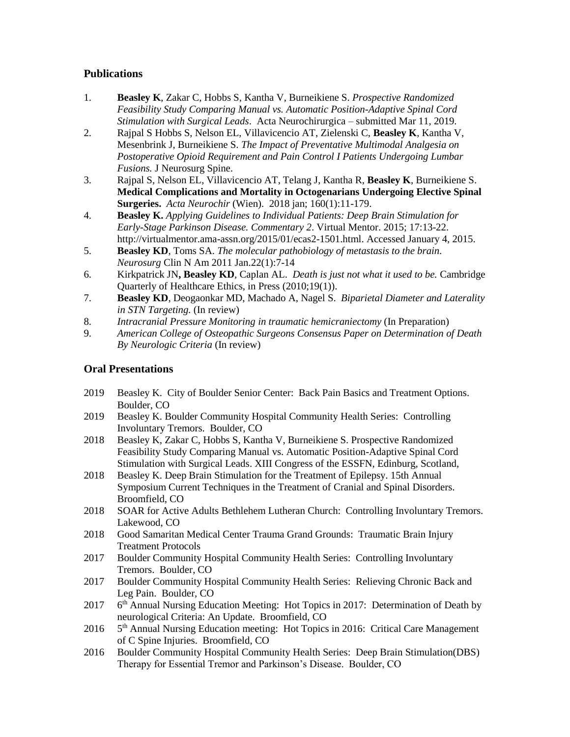### **Publications**

- 1. **Beasley K**, Zakar C, Hobbs S, Kantha V, Burneikiene S. *Prospective Randomized Feasibility Study Comparing Manual vs. Automatic Position-Adaptive Spinal Cord Stimulation with Surgical Leads*. Acta Neurochirurgica – submitted Mar 11, 2019.
- 2. Rajpal S Hobbs S, Nelson EL, Villavicencio AT, Zielenski C, **Beasley K**, Kantha V, Mesenbrink J, Burneikiene S. *The Impact of Preventative Multimodal Analgesia on Postoperative Opioid Requirement and Pain Control I Patients Undergoing Lumbar Fusions.* J Neurosurg Spine.
- 3. Rajpal S, Nelson EL, Villavicencio AT, Telang J, Kantha R, **Beasley K**, Burneikiene S. **Medical Complications and Mortality in Octogenarians Undergoing Elective Spinal Surgeries.** *Acta Neurochir* (Wien). 2018 jan; 160(1):11-179.
- 4. **Beasley K.** *Applying Guidelines to Individual Patients: Deep Brain Stimulation for Early-Stage Parkinson Disease. Commentary 2*. Virtual Mentor. 2015; 17:13-22. http://virtualmentor.ama-assn.org/2015/01/ecas2-1501.html. Accessed January 4, 2015.
- 5. **Beasley KD**, Toms SA. *The molecular pathobiology of metastasis to the brain. Neurosurg* Clin N Am 2011 Jan.22(1):7-14
- 6. Kirkpatrick JN**, Beasley KD**, Caplan AL. *Death is just not what it used to be.* Cambridge Quarterly of Healthcare Ethics, in Press (2010;19(1)).
- 7. **Beasley KD**, Deogaonkar MD, Machado A, Nagel S. *Biparietal Diameter and Laterality in STN Targeting.* (In review)
- 8. *Intracranial Pressure Monitoring in traumatic hemicraniectomy* (In Preparation)
- 9. *American College of Osteopathic Surgeons Consensus Paper on Determination of Death By Neurologic Criteria* (In review)

#### **Oral Presentations**

- 2019 Beasley K. City of Boulder Senior Center: Back Pain Basics and Treatment Options. Boulder, CO
- 2019 Beasley K. Boulder Community Hospital Community Health Series: Controlling Involuntary Tremors. Boulder, CO
- 2018 Beasley K, Zakar C, Hobbs S, Kantha V, Burneikiene S. Prospective Randomized Feasibility Study Comparing Manual vs. Automatic Position-Adaptive Spinal Cord Stimulation with Surgical Leads. XIII Congress of the ESSFN, Edinburg, Scotland,
- 2018 Beasley K. Deep Brain Stimulation for the Treatment of Epilepsy. 15th Annual Symposium Current Techniques in the Treatment of Cranial and Spinal Disorders. Broomfield, CO
- 2018 SOAR for Active Adults Bethlehem Lutheran Church: Controlling Involuntary Tremors. Lakewood, CO
- 2018 Good Samaritan Medical Center Trauma Grand Grounds: Traumatic Brain Injury Treatment Protocols
- 2017 Boulder Community Hospital Community Health Series: Controlling Involuntary Tremors. Boulder, CO
- 2017 Boulder Community Hospital Community Health Series: Relieving Chronic Back and Leg Pain. Boulder, CO
- 2017  $6<sup>th</sup>$  Annual Nursing Education Meeting: Hot Topics in 2017: Determination of Death by neurological Criteria: An Update. Broomfield, CO
- 2016 5<sup>th</sup> Annual Nursing Education meeting: Hot Topics in 2016: Critical Care Management of C Spine Injuries. Broomfield, CO
- 2016 Boulder Community Hospital Community Health Series: Deep Brain Stimulation(DBS) Therapy for Essential Tremor and Parkinson's Disease. Boulder, CO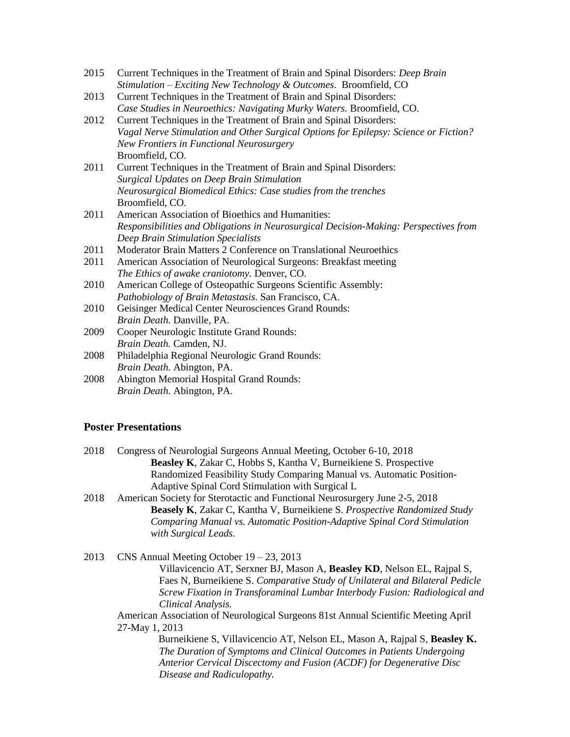| 2015 | Current Techniques in the Treatment of Brain and Spinal Disorders: <i>Deep Brain</i> |
|------|--------------------------------------------------------------------------------------|
|      | Stimulation – Exciting New Technology & Outcomes. Broomfield, CO                     |

- 2013 Current Techniques in the Treatment of Brain and Spinal Disorders: *Case Studies in Neuroethics: Navigating Murky Waters.* Broomfield, CO.
- 2012 Current Techniques in the Treatment of Brain and Spinal Disorders: *Vagal Nerve Stimulation and Other Surgical Options for Epilepsy: Science or Fiction? New Frontiers in Functional Neurosurgery* Broomfield, CO.
- 2011 Current Techniques in the Treatment of Brain and Spinal Disorders: *Surgical Updates on Deep Brain Stimulation Neurosurgical Biomedical Ethics: Case studies from the trenches* Broomfield, CO.
- 2011 American Association of Bioethics and Humanities: *Responsibilities and Obligations in Neurosurgical Decision-Making: Perspectives from Deep Brain Stimulation Specialists*
- 2011 Moderator Brain Matters 2 Conference on Translational Neuroethics
- 2011 American Association of Neurological Surgeons: Breakfast meeting *The Ethics of awake craniotomy.* Denver, CO.
- 2010 American College of Osteopathic Surgeons Scientific Assembly: *Pathobiology of Brain Metastasis.* San Francisco, CA.
- 2010 Geisinger Medical Center Neurosciences Grand Rounds: *Brain Death.* Danville, PA.
- 2009 Cooper Neurologic Institute Grand Rounds: *Brain Death.* Camden, NJ.
- 2008 Philadelphia Regional Neurologic Grand Rounds: *Brain Death.* Abington, PA.
- 2008 Abington Memorial Hospital Grand Rounds: *Brain Death.* Abington, PA.

#### **Poster Presentations**

| 2018 | Congress of Neurologial Surgeons Annual Meeting, October 6-10, 2018                          |
|------|----------------------------------------------------------------------------------------------|
|      | Beasley K, Zakar C, Hobbs S, Kantha V, Burneikiene S. Prospective                            |
|      | Randomized Feasibility Study Comparing Manual vs. Automatic Position-                        |
|      | Adaptive Spinal Cord Stimulation with Surgical L                                             |
| 2018 | American Society for Sterotactic and Functional Neurosurgery June 2-5, 2018                  |
|      | <b>Beasely K, Zakar C, Kantha V, Burneikiene S. Prospective Randomized Study</b>             |
|      | Comparing Manual vs. Automatic Position-Adaptive Spinal Cord Stimulation                     |
|      | with Surgical Leads.                                                                         |
|      | CNS Annual Meeting October $19 - 23$ , 2013                                                  |
| 2013 | $\mathbf{v}$<br>$\mathbf{r}$ $\mathbf{r}$ $\mathbf{r}$ $\mathbf{r}$ $\mathbf{r}$<br>TTD AT 1 |

Villavicencio AT, Serxner BJ, Mason A, **Beasley KD**, Nelson EL, Rajpal S, Faes N, Burneikiene S. *Comparative Study of Unilateral and Bilateral Pedicle Screw Fixation in Transforaminal Lumbar Interbody Fusion: Radiological and Clinical Analysis.*

American Association of Neurological Surgeons 81st Annual Scientific Meeting April 27-May 1, 2013

> Burneikiene S, Villavicencio AT, Nelson EL, Mason A, Rajpal S, **Beasley K.** *The Duration of Symptoms and Clinical Outcomes in Patients Undergoing Anterior Cervical Discectomy and Fusion (ACDF) for Degenerative Disc Disease and Radiculopathy.*